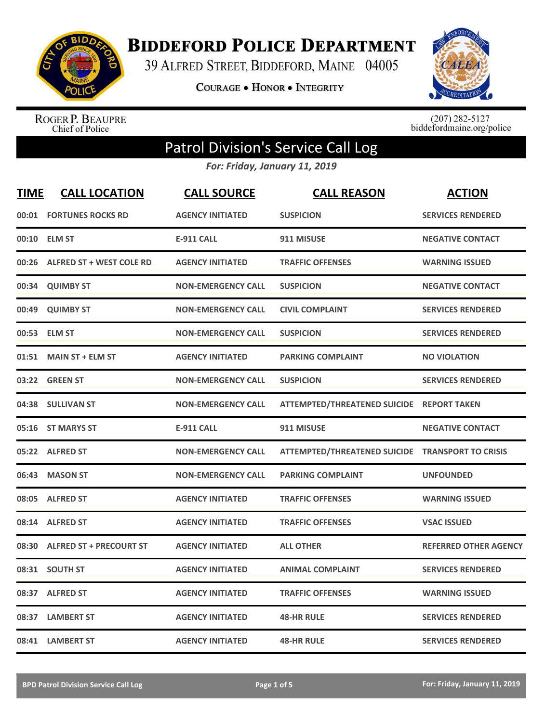

**BIDDEFORD POLICE DEPARTMENT** 

39 ALFRED STREET, BIDDEFORD, MAINE 04005

**COURAGE . HONOR . INTEGRITY** 



ROGER P. BEAUPRE<br>Chief of Police

 $(207)$  282-5127<br>biddefordmaine.org/police

## Patrol Division's Service Call Log

*For: Friday, January 11, 2019*

| <b>TIME</b> | <b>CALL LOCATION</b>            | <b>CALL SOURCE</b>        | <b>CALL REASON</b>                               | <b>ACTION</b>                |
|-------------|---------------------------------|---------------------------|--------------------------------------------------|------------------------------|
| 00:01       | <b>FORTUNES ROCKS RD</b>        | <b>AGENCY INITIATED</b>   | <b>SUSPICION</b>                                 | <b>SERVICES RENDERED</b>     |
| 00:10       | <b>ELM ST</b>                   | <b>E-911 CALL</b>         | 911 MISUSE                                       | <b>NEGATIVE CONTACT</b>      |
| 00:26       | <b>ALFRED ST + WEST COLE RD</b> | <b>AGENCY INITIATED</b>   | <b>TRAFFIC OFFENSES</b>                          | <b>WARNING ISSUED</b>        |
| 00:34       | <b>QUIMBY ST</b>                | <b>NON-EMERGENCY CALL</b> | <b>SUSPICION</b>                                 | <b>NEGATIVE CONTACT</b>      |
| 00:49       | <b>QUIMBY ST</b>                | <b>NON-EMERGENCY CALL</b> | <b>CIVIL COMPLAINT</b>                           | <b>SERVICES RENDERED</b>     |
|             | 00:53 ELM ST                    | <b>NON-EMERGENCY CALL</b> | <b>SUSPICION</b>                                 | <b>SERVICES RENDERED</b>     |
| 01:51       | <b>MAIN ST + ELM ST</b>         | <b>AGENCY INITIATED</b>   | <b>PARKING COMPLAINT</b>                         | <b>NO VIOLATION</b>          |
|             | 03:22 GREEN ST                  | <b>NON-EMERGENCY CALL</b> | <b>SUSPICION</b>                                 | <b>SERVICES RENDERED</b>     |
|             | 04:38 SULLIVAN ST               | <b>NON-EMERGENCY CALL</b> | ATTEMPTED/THREATENED SUICIDE REPORT TAKEN        |                              |
| 05:16       | <b>ST MARYS ST</b>              | <b>E-911 CALL</b>         | 911 MISUSE                                       | <b>NEGATIVE CONTACT</b>      |
|             | 05:22 ALFRED ST                 | <b>NON-EMERGENCY CALL</b> | ATTEMPTED/THREATENED SUICIDE TRANSPORT TO CRISIS |                              |
| 06:43       | <b>MASON ST</b>                 | <b>NON-EMERGENCY CALL</b> | <b>PARKING COMPLAINT</b>                         | <b>UNFOUNDED</b>             |
| 08:05       | <b>ALFRED ST</b>                | <b>AGENCY INITIATED</b>   | <b>TRAFFIC OFFENSES</b>                          | <b>WARNING ISSUED</b>        |
| 08:14       | <b>ALFRED ST</b>                | <b>AGENCY INITIATED</b>   | <b>TRAFFIC OFFENSES</b>                          | <b>VSAC ISSUED</b>           |
| 08:30       | <b>ALFRED ST + PRECOURT ST</b>  | <b>AGENCY INITIATED</b>   | <b>ALL OTHER</b>                                 | <b>REFERRED OTHER AGENCY</b> |
| 08:31       | <b>SOUTH ST</b>                 | <b>AGENCY INITIATED</b>   | <b>ANIMAL COMPLAINT</b>                          | <b>SERVICES RENDERED</b>     |
| 08:37       | <b>ALFRED ST</b>                | <b>AGENCY INITIATED</b>   | <b>TRAFFIC OFFENSES</b>                          | <b>WARNING ISSUED</b>        |
| 08:37       | <b>LAMBERT ST</b>               | <b>AGENCY INITIATED</b>   | <b>48-HR RULE</b>                                | <b>SERVICES RENDERED</b>     |
|             | 08:41 LAMBERT ST                | <b>AGENCY INITIATED</b>   | <b>48-HR RULE</b>                                | <b>SERVICES RENDERED</b>     |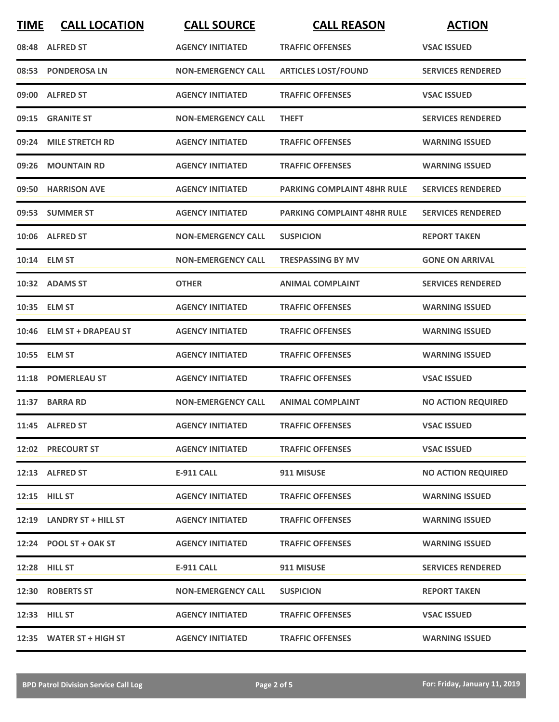| <b>TIME</b> | <b>CALL LOCATION</b>      | <b>CALL SOURCE</b>        | <b>CALL REASON</b>                 | <b>ACTION</b>             |
|-------------|---------------------------|---------------------------|------------------------------------|---------------------------|
|             | 08:48 ALFRED ST           | <b>AGENCY INITIATED</b>   | <b>TRAFFIC OFFENSES</b>            | <b>VSAC ISSUED</b>        |
|             | 08:53 PONDEROSA LN        | <b>NON-EMERGENCY CALL</b> | <b>ARTICLES LOST/FOUND</b>         | <b>SERVICES RENDERED</b>  |
|             | 09:00 ALFRED ST           | <b>AGENCY INITIATED</b>   | <b>TRAFFIC OFFENSES</b>            | <b>VSAC ISSUED</b>        |
|             | 09:15 GRANITE ST          | <b>NON-EMERGENCY CALL</b> | <b>THEFT</b>                       | <b>SERVICES RENDERED</b>  |
|             | 09:24 MILE STRETCH RD     | <b>AGENCY INITIATED</b>   | <b>TRAFFIC OFFENSES</b>            | <b>WARNING ISSUED</b>     |
| 09:26       | <b>MOUNTAIN RD</b>        | <b>AGENCY INITIATED</b>   | <b>TRAFFIC OFFENSES</b>            | <b>WARNING ISSUED</b>     |
|             | 09:50 HARRISON AVE        | <b>AGENCY INITIATED</b>   | <b>PARKING COMPLAINT 48HR RULE</b> | <b>SERVICES RENDERED</b>  |
|             | 09:53 SUMMER ST           | <b>AGENCY INITIATED</b>   | <b>PARKING COMPLAINT 48HR RULE</b> | <b>SERVICES RENDERED</b>  |
|             | 10:06 ALFRED ST           | <b>NON-EMERGENCY CALL</b> | <b>SUSPICION</b>                   | <b>REPORT TAKEN</b>       |
|             | 10:14 ELM ST              | <b>NON-EMERGENCY CALL</b> | <b>TRESPASSING BY MV</b>           | <b>GONE ON ARRIVAL</b>    |
|             | 10:32 ADAMS ST            | <b>OTHER</b>              | <b>ANIMAL COMPLAINT</b>            | <b>SERVICES RENDERED</b>  |
|             | 10:35 ELM ST              | <b>AGENCY INITIATED</b>   | <b>TRAFFIC OFFENSES</b>            | <b>WARNING ISSUED</b>     |
|             | 10:46 ELM ST + DRAPEAU ST | <b>AGENCY INITIATED</b>   | <b>TRAFFIC OFFENSES</b>            | <b>WARNING ISSUED</b>     |
|             | 10:55 ELM ST              | <b>AGENCY INITIATED</b>   | <b>TRAFFIC OFFENSES</b>            | <b>WARNING ISSUED</b>     |
|             | 11:18 POMERLEAU ST        | <b>AGENCY INITIATED</b>   | <b>TRAFFIC OFFENSES</b>            | <b>VSAC ISSUED</b>        |
|             | 11:37 BARRA RD            | <b>NON-EMERGENCY CALL</b> | <b>ANIMAL COMPLAINT</b>            | <b>NO ACTION REQUIRED</b> |
|             | 11:45 ALFRED ST           | <b>AGENCY INITIATED</b>   | <b>TRAFFIC OFFENSES</b>            | <b>VSAC ISSUED</b>        |
|             | 12:02 PRECOURT ST         | <b>AGENCY INITIATED</b>   | <b>TRAFFIC OFFENSES</b>            | <b>VSAC ISSUED</b>        |
|             | 12:13 ALFRED ST           | <b>E-911 CALL</b>         | 911 MISUSE                         | <b>NO ACTION REQUIRED</b> |
|             | 12:15 HILL ST             | <b>AGENCY INITIATED</b>   | <b>TRAFFIC OFFENSES</b>            | <b>WARNING ISSUED</b>     |
|             | 12:19 LANDRY ST + HILL ST | <b>AGENCY INITIATED</b>   | <b>TRAFFIC OFFENSES</b>            | <b>WARNING ISSUED</b>     |
|             | $12:24$ POOL ST + OAK ST  | <b>AGENCY INITIATED</b>   | <b>TRAFFIC OFFENSES</b>            | <b>WARNING ISSUED</b>     |
|             | 12:28 HILL ST             | E-911 CALL                | 911 MISUSE                         | <b>SERVICES RENDERED</b>  |
|             | 12:30 ROBERTS ST          | <b>NON-EMERGENCY CALL</b> | <b>SUSPICION</b>                   | <b>REPORT TAKEN</b>       |
|             | 12:33 HILL ST             | <b>AGENCY INITIATED</b>   | <b>TRAFFIC OFFENSES</b>            | <b>VSAC ISSUED</b>        |
|             | 12:35 WATER ST + HIGH ST  | <b>AGENCY INITIATED</b>   | <b>TRAFFIC OFFENSES</b>            | <b>WARNING ISSUED</b>     |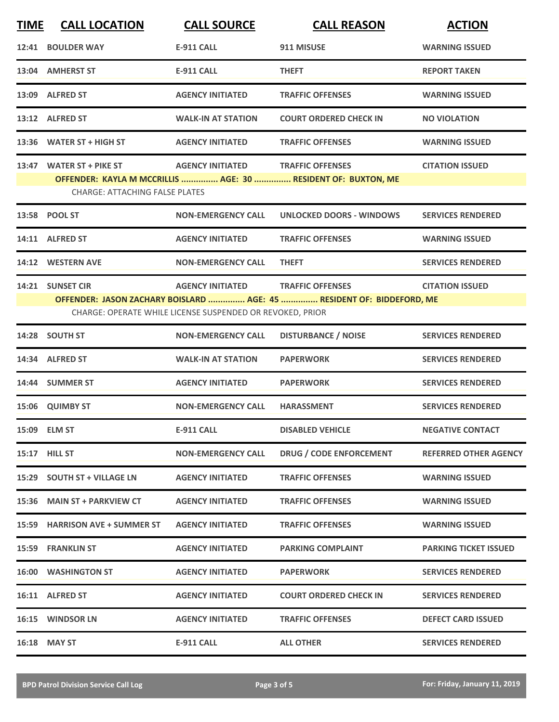| <b>TIME</b> | <b>CALL LOCATION</b>                  | <b>CALL SOURCE</b>                                        | <b>CALL REASON</b>                                                                               | <b>ACTION</b>                |
|-------------|---------------------------------------|-----------------------------------------------------------|--------------------------------------------------------------------------------------------------|------------------------------|
| 12:41       | <b>BOULDER WAY</b>                    | <b>E-911 CALL</b>                                         | 911 MISUSE                                                                                       | <b>WARNING ISSUED</b>        |
|             | 13:04 AMHERST ST                      | <b>E-911 CALL</b>                                         | <b>THEFT</b>                                                                                     | <b>REPORT TAKEN</b>          |
|             | 13:09 ALFRED ST                       | <b>AGENCY INITIATED</b>                                   | <b>TRAFFIC OFFENSES</b>                                                                          | <b>WARNING ISSUED</b>        |
|             | 13:12 ALFRED ST                       | <b>WALK-IN AT STATION</b>                                 | <b>COURT ORDERED CHECK IN</b>                                                                    | <b>NO VIOLATION</b>          |
|             | 13:36 WATER ST + HIGH ST              | <b>AGENCY INITIATED</b>                                   | <b>TRAFFIC OFFENSES</b>                                                                          | <b>WARNING ISSUED</b>        |
|             | 13:47 WATER ST + PIKE ST              | <b>AGENCY INITIATED</b>                                   | <b>TRAFFIC OFFENSES</b>                                                                          | <b>CITATION ISSUED</b>       |
|             | <b>CHARGE: ATTACHING FALSE PLATES</b> |                                                           | OFFENDER: KAYLA M MCCRILLIS  AGE: 30  RESIDENT OF: BUXTON, ME                                    |                              |
|             | 13:58 POOL ST                         | <b>NON-EMERGENCY CALL</b>                                 | <b>UNLOCKED DOORS - WINDOWS</b>                                                                  | <b>SERVICES RENDERED</b>     |
|             | 14:11 ALFRED ST                       | <b>AGENCY INITIATED</b>                                   | <b>TRAFFIC OFFENSES</b>                                                                          | <b>WARNING ISSUED</b>        |
|             | 14:12 WESTERN AVE                     | <b>NON-EMERGENCY CALL</b>                                 | <b>THEFT</b>                                                                                     | <b>SERVICES RENDERED</b>     |
|             | 14:21 SUNSET CIR                      | <b>AGENCY INITIATED</b>                                   | <b>TRAFFIC OFFENSES</b><br>OFFENDER: JASON ZACHARY BOISLARD  AGE: 45  RESIDENT OF: BIDDEFORD, ME | <b>CITATION ISSUED</b>       |
|             |                                       | CHARGE: OPERATE WHILE LICENSE SUSPENDED OR REVOKED, PRIOR |                                                                                                  |                              |
| 14:28       | <b>SOUTH ST</b>                       | <b>NON-EMERGENCY CALL</b>                                 | <b>DISTURBANCE / NOISE</b>                                                                       | <b>SERVICES RENDERED</b>     |
|             | 14:34 ALFRED ST                       | <b>WALK-IN AT STATION</b>                                 | <b>PAPERWORK</b>                                                                                 | <b>SERVICES RENDERED</b>     |
|             | 14:44 SUMMER ST                       | <b>AGENCY INITIATED</b>                                   | <b>PAPERWORK</b>                                                                                 | <b>SERVICES RENDERED</b>     |
| 15:06       | <b>QUIMBY ST</b>                      | <b>NON-EMERGENCY CALL</b>                                 | <b>HARASSMENT</b>                                                                                | <b>SERVICES RENDERED</b>     |
|             | 15:09 ELM ST                          | <b>E-911 CALL</b>                                         | <b>DISABLED VEHICLE</b>                                                                          | <b>NEGATIVE CONTACT</b>      |
|             | 15:17 HILL ST                         | <b>NON-EMERGENCY CALL</b>                                 | DRUG / CODE ENFORCEMENT                                                                          | <b>REFERRED OTHER AGENCY</b> |
|             | 15:29 SOUTH ST + VILLAGE LN           | <b>AGENCY INITIATED</b>                                   | <b>TRAFFIC OFFENSES</b>                                                                          | <b>WARNING ISSUED</b>        |
|             | 15:36 MAIN ST + PARKVIEW CT           | <b>AGENCY INITIATED</b>                                   | <b>TRAFFIC OFFENSES</b>                                                                          | <b>WARNING ISSUED</b>        |
|             | 15:59 HARRISON AVE + SUMMER ST        | <b>AGENCY INITIATED</b>                                   | <b>TRAFFIC OFFENSES</b>                                                                          | <b>WARNING ISSUED</b>        |
|             | <b>15:59 FRANKLIN ST</b>              | <b>AGENCY INITIATED</b>                                   | <b>PARKING COMPLAINT</b>                                                                         | <b>PARKING TICKET ISSUED</b> |
|             | <b>16:00 WASHINGTON ST</b>            | <b>AGENCY INITIATED</b>                                   | <b>PAPERWORK</b>                                                                                 | <b>SERVICES RENDERED</b>     |
|             | 16:11 ALFRED ST                       | <b>AGENCY INITIATED</b>                                   | <b>COURT ORDERED CHECK IN</b>                                                                    | <b>SERVICES RENDERED</b>     |
|             | 16:15 WINDSOR LN                      | <b>AGENCY INITIATED</b>                                   | <b>TRAFFIC OFFENSES</b>                                                                          | <b>DEFECT CARD ISSUED</b>    |
|             | 16:18 MAY ST                          | <b>E-911 CALL</b>                                         | <b>ALL OTHER</b>                                                                                 | <b>SERVICES RENDERED</b>     |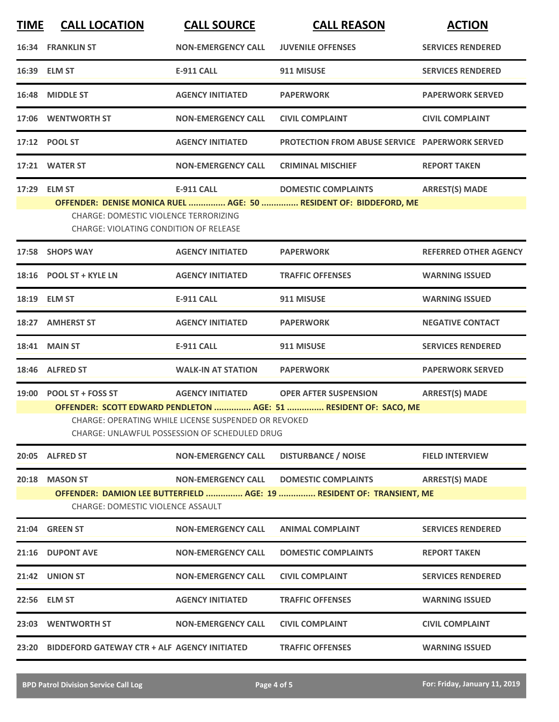| <b>TIME</b> | <b>CALL LOCATION</b>                                                                                                                                                                                                                                                                             | <b>CALL SOURCE</b>        | <b>CALL REASON</b>                                    | <b>ACTION</b>                |  |
|-------------|--------------------------------------------------------------------------------------------------------------------------------------------------------------------------------------------------------------------------------------------------------------------------------------------------|---------------------------|-------------------------------------------------------|------------------------------|--|
|             | <b>16:34 FRANKLIN ST</b>                                                                                                                                                                                                                                                                         | <b>NON-EMERGENCY CALL</b> | <b>JUVENILE OFFENSES</b>                              | <b>SERVICES RENDERED</b>     |  |
|             | 16:39 ELM ST                                                                                                                                                                                                                                                                                     | <b>E-911 CALL</b>         | 911 MISUSE                                            | <b>SERVICES RENDERED</b>     |  |
|             | 16:48 MIDDLE ST                                                                                                                                                                                                                                                                                  | <b>AGENCY INITIATED</b>   | <b>PAPERWORK</b>                                      | <b>PAPERWORK SERVED</b>      |  |
|             | 17:06 WENTWORTH ST                                                                                                                                                                                                                                                                               | <b>NON-EMERGENCY CALL</b> | <b>CIVIL COMPLAINT</b>                                | <b>CIVIL COMPLAINT</b>       |  |
|             | 17:12 POOL ST                                                                                                                                                                                                                                                                                    | <b>AGENCY INITIATED</b>   | <b>PROTECTION FROM ABUSE SERVICE PAPERWORK SERVED</b> |                              |  |
|             | 17:21 WATER ST                                                                                                                                                                                                                                                                                   | <b>NON-EMERGENCY CALL</b> | <b>CRIMINAL MISCHIEF</b>                              | <b>REPORT TAKEN</b>          |  |
|             | <b>ARREST(S) MADE</b><br>17:29 ELM ST<br><b>E-911 CALL</b><br><b>DOMESTIC COMPLAINTS</b><br>OFFENDER: DENISE MONICA RUEL  AGE: 50  RESIDENT OF: BIDDEFORD, ME<br><b>CHARGE: DOMESTIC VIOLENCE TERRORIZING</b><br>CHARGE: VIOLATING CONDITION OF RELEASE                                          |                           |                                                       |                              |  |
| 17:58       | <b>SHOPS WAY</b>                                                                                                                                                                                                                                                                                 | <b>AGENCY INITIATED</b>   | <b>PAPERWORK</b>                                      | <b>REFERRED OTHER AGENCY</b> |  |
|             | 18:16 POOL ST + KYLE LN                                                                                                                                                                                                                                                                          | <b>AGENCY INITIATED</b>   | <b>TRAFFIC OFFENSES</b>                               | <b>WARNING ISSUED</b>        |  |
|             | 18:19 ELM ST                                                                                                                                                                                                                                                                                     | <b>E-911 CALL</b>         | 911 MISUSE                                            | <b>WARNING ISSUED</b>        |  |
| 18:27       | <b>AMHERST ST</b>                                                                                                                                                                                                                                                                                | <b>AGENCY INITIATED</b>   | <b>PAPERWORK</b>                                      | <b>NEGATIVE CONTACT</b>      |  |
| 18:41       | <b>MAIN ST</b>                                                                                                                                                                                                                                                                                   | <b>E-911 CALL</b>         | 911 MISUSE                                            | <b>SERVICES RENDERED</b>     |  |
| 18:46       | <b>ALFRED ST</b>                                                                                                                                                                                                                                                                                 | <b>WALK-IN AT STATION</b> | <b>PAPERWORK</b>                                      | <b>PAPERWORK SERVED</b>      |  |
| 19:00       | <b>POOL ST + FOSS ST</b><br><b>AGENCY INITIATED</b><br><b>OPER AFTER SUSPENSION</b><br><b>ARREST(S) MADE</b><br>OFFENDER: SCOTT EDWARD PENDLETON  AGE: 51  RESIDENT OF: SACO, ME<br>CHARGE: OPERATING WHILE LICENSE SUSPENDED OR REVOKED<br><b>CHARGE: UNLAWFUL POSSESSION OF SCHEDULED DRUG</b> |                           |                                                       |                              |  |
|             | 20:05 ALFRED ST                                                                                                                                                                                                                                                                                  | <b>NON-EMERGENCY CALL</b> | <b>DISTURBANCE / NOISE</b>                            | <b>FIELD INTERVIEW</b>       |  |
| 20:18       | <b>MASON ST</b><br><b>NON-EMERGENCY CALL</b><br><b>DOMESTIC COMPLAINTS</b><br><b>ARREST(S) MADE</b><br>OFFENDER: DAMION LEE BUTTERFIELD  AGE: 19  RESIDENT OF: TRANSIENT, ME<br>CHARGE: DOMESTIC VIOLENCE ASSAULT                                                                                |                           |                                                       |                              |  |
|             | 21:04 GREEN ST                                                                                                                                                                                                                                                                                   | <b>NON-EMERGENCY CALL</b> | <b>ANIMAL COMPLAINT</b>                               | <b>SERVICES RENDERED</b>     |  |
|             | 21:16 DUPONT AVE                                                                                                                                                                                                                                                                                 | <b>NON-EMERGENCY CALL</b> | <b>DOMESTIC COMPLAINTS</b>                            | <b>REPORT TAKEN</b>          |  |
|             | 21:42 UNION ST                                                                                                                                                                                                                                                                                   | <b>NON-EMERGENCY CALL</b> | <b>CIVIL COMPLAINT</b>                                | <b>SERVICES RENDERED</b>     |  |
|             | 22:56 ELM ST                                                                                                                                                                                                                                                                                     | <b>AGENCY INITIATED</b>   | <b>TRAFFIC OFFENSES</b>                               | <b>WARNING ISSUED</b>        |  |
|             | 23:03 WENTWORTH ST                                                                                                                                                                                                                                                                               | <b>NON-EMERGENCY CALL</b> | <b>CIVIL COMPLAINT</b>                                | <b>CIVIL COMPLAINT</b>       |  |
|             | 23:20 BIDDEFORD GATEWAY CTR + ALF AGENCY INITIATED                                                                                                                                                                                                                                               |                           | <b>TRAFFIC OFFENSES</b>                               | <b>WARNING ISSUED</b>        |  |
|             |                                                                                                                                                                                                                                                                                                  |                           |                                                       |                              |  |